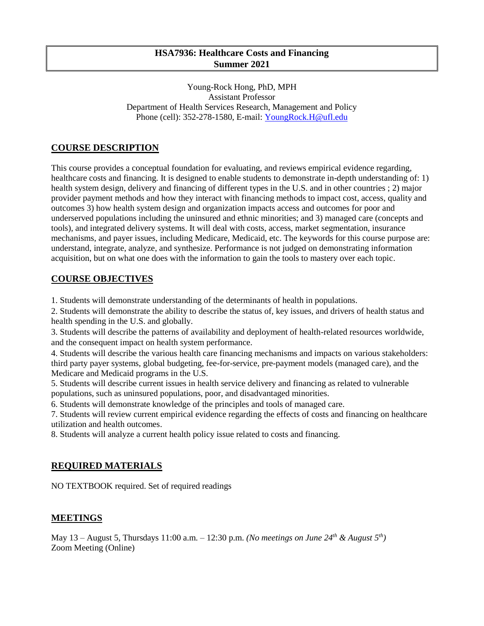## **HSA7936: Healthcare Costs and Financing Summer 2021**

Young-Rock Hong, PhD, MPH Assistant Professor Department of Health Services Research, Management and Policy Phone (cell): 352-278-1580, E-mail: [YoungRock.H@ufl.edu](mailto:YoungRock.H@ufl.edu)

# **COURSE DESCRIPTION**

This course provides a conceptual foundation for evaluating, and reviews empirical evidence regarding, healthcare costs and financing. It is designed to enable students to demonstrate in-depth understanding of: 1) health system design, delivery and financing of different types in the U.S. and in other countries ; 2) major provider payment methods and how they interact with financing methods to impact cost, access, quality and outcomes 3) how health system design and organization impacts access and outcomes for poor and underserved populations including the uninsured and ethnic minorities; and 3) managed care (concepts and tools), and integrated delivery systems. It will deal with costs, access, market segmentation, insurance mechanisms, and payer issues, including Medicare, Medicaid, etc. The keywords for this course purpose are: understand, integrate, analyze, and synthesize. Performance is not judged on demonstrating information acquisition, but on what one does with the information to gain the tools to mastery over each topic.

## **COURSE OBJECTIVES**

1. Students will demonstrate understanding of the determinants of health in populations.

2. Students will demonstrate the ability to describe the status of, key issues, and drivers of health status and health spending in the U.S. and globally.

3. Students will describe the patterns of availability and deployment of health-related resources worldwide, and the consequent impact on health system performance.

4. Students will describe the various health care financing mechanisms and impacts on various stakeholders: third party payer systems, global budgeting, fee-for-service, pre-payment models (managed care), and the Medicare and Medicaid programs in the U.S.

5. Students will describe current issues in health service delivery and financing as related to vulnerable populations, such as uninsured populations, poor, and disadvantaged minorities.

6. Students will demonstrate knowledge of the principles and tools of managed care.

7. Students will review current empirical evidence regarding the effects of costs and financing on healthcare utilization and health outcomes.

8. Students will analyze a current health policy issue related to costs and financing.

### **REQUIRED MATERIALS**

NO TEXTBOOK required. Set of required readings

### **MEETINGS**

May 13 – August 5, Thursdays 11:00 a.m. – 12:30 p.m. *(No meetings on June 24 th & August 5th)* Zoom Meeting (Online)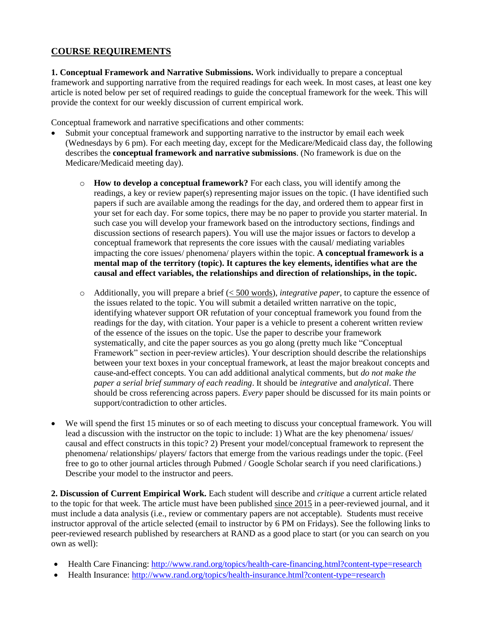# **COURSE REQUIREMENTS**

**1. Conceptual Framework and Narrative Submissions.** Work individually to prepare a conceptual framework and supporting narrative from the required readings for each week. In most cases, at least one key article is noted below per set of required readings to guide the conceptual framework for the week. This will provide the context for our weekly discussion of current empirical work.

Conceptual framework and narrative specifications and other comments:

- Submit your conceptual framework and supporting narrative to the instructor by email each week (Wednesdays by 6 pm). For each meeting day, except for the Medicare/Medicaid class day, the following describes the **conceptual framework and narrative submissions**. (No framework is due on the Medicare/Medicaid meeting day).
	- o **How to develop a conceptual framework?** For each class, you will identify among the readings, a key or review paper(s) representing major issues on the topic. (I have identified such papers if such are available among the readings for the day, and ordered them to appear first in your set for each day. For some topics, there may be no paper to provide you starter material. In such case you will develop your framework based on the introductory sections, findings and discussion sections of research papers). You will use the major issues or factors to develop a conceptual framework that represents the core issues with the causal/ mediating variables impacting the core issues/ phenomena/ players within the topic. **A conceptual framework is a mental map of the territory (topic). It captures the key elements, identifies what are the causal and effect variables, the relationships and direction of relationships, in the topic.**
	- o Additionally, you will prepare a brief (< 500 words), *integrative paper*, to capture the essence of the issues related to the topic. You will submit a detailed written narrative on the topic, identifying whatever support OR refutation of your conceptual framework you found from the readings for the day, with citation. Your paper is a vehicle to present a coherent written review of the essence of the issues on the topic. Use the paper to describe your framework systematically, and cite the paper sources as you go along (pretty much like "Conceptual Framework" section in peer-review articles). Your description should describe the relationships between your text boxes in your conceptual framework, at least the major breakout concepts and cause-and-effect concepts. You can add additional analytical comments, but *do not make the paper a serial brief summary of each reading*. It should be *integrative* and *analytical*. There should be cross referencing across papers. *Every* paper should be discussed for its main points or support/contradiction to other articles.
- We will spend the first 15 minutes or so of each meeting to discuss your conceptual framework. You will lead a discussion with the instructor on the topic to include: 1) What are the key phenomena/ issues/ causal and effect constructs in this topic? 2) Present your model/conceptual framework to represent the phenomena/ relationships/ players/ factors that emerge from the various readings under the topic. (Feel free to go to other journal articles through Pubmed / Google Scholar search if you need clarifications.) Describe your model to the instructor and peers.

**2. Discussion of Current Empirical Work.** Each student will describe and *critique* a current article related to the topic for that week. The article must have been published since 2015 in a peer-reviewed journal, and it must include a data analysis (i.e., review or commentary papers are not acceptable). Students must receive instructor approval of the article selected (email to instructor by 6 PM on Fridays). See the following links to peer-reviewed research published by researchers at RAND as a good place to start (or you can search on you own as well):

- Health Care Financing:<http://www.rand.org/topics/health-care-financing.html?content-type=research>
- Health Insurance[: http://www.rand.org/topics/health-insurance.html?content-type=research](http://www.rand.org/topics/health-insurance.html?content-type=research)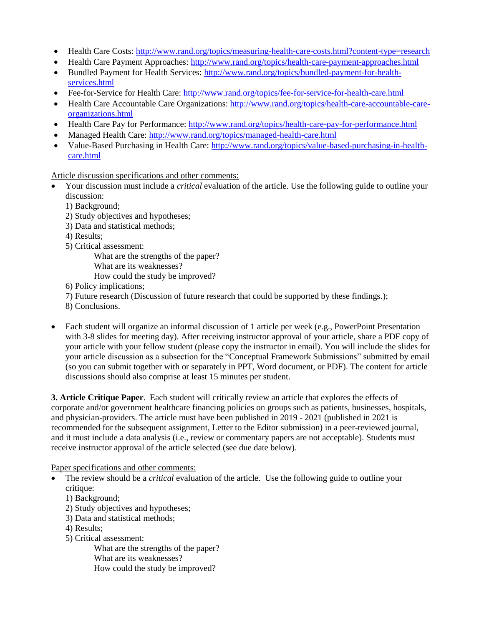- Health Care Costs:<http://www.rand.org/topics/measuring-health-care-costs.html?content-type=research>
- Health Care Payment Approaches:<http://www.rand.org/topics/health-care-payment-approaches.html>
- Bundled Payment for Health Services: [http://www.rand.org/topics/bundled-payment-for-health](http://www.rand.org/topics/bundled-payment-for-health-services.html)[services.html](http://www.rand.org/topics/bundled-payment-for-health-services.html)
- Fee-for-Service for Health Care:<http://www.rand.org/topics/fee-for-service-for-health-care.html>
- Health Care Accountable Care Organizations: [http://www.rand.org/topics/health-care-accountable-care](http://www.rand.org/topics/health-care-accountable-care-organizations.html)[organizations.html](http://www.rand.org/topics/health-care-accountable-care-organizations.html)
- Health Care Pay for Performance:<http://www.rand.org/topics/health-care-pay-for-performance.html>
- Managed Health Care:<http://www.rand.org/topics/managed-health-care.html>
- Value-Based Purchasing in Health Care: [http://www.rand.org/topics/value-based-purchasing-in-health](http://www.rand.org/topics/value-based-purchasing-in-health-care.html)[care.html](http://www.rand.org/topics/value-based-purchasing-in-health-care.html)

Article discussion specifications and other comments:

- Your discussion must include a *critical* evaluation of the article. Use the following guide to outline your discussion:
	- 1) Background;
	- 2) Study objectives and hypotheses;
	- 3) Data and statistical methods;
	- 4) Results;
	- 5) Critical assessment:
		- What are the strengths of the paper?
		- What are its weaknesses?
		- How could the study be improved?
	- 6) Policy implications;
	- 7) Future research (Discussion of future research that could be supported by these findings.);
	- 8) Conclusions.
- Each student will organize an informal discussion of 1 article per week (e.g., PowerPoint Presentation with 3-8 slides for meeting day). After receiving instructor approval of your article, share a PDF copy of your article with your fellow student (please copy the instructor in email). You will include the slides for your article discussion as a subsection for the "Conceptual Framework Submissions" submitted by email (so you can submit together with or separately in PPT, Word document, or PDF). The content for article discussions should also comprise at least 15 minutes per student.

**3. Article Critique Paper**. Each student will critically review an article that explores the effects of corporate and/or government healthcare financing policies on groups such as patients, businesses, hospitals, and physician-providers. The article must have been published in 2019 - 2021 (published in 2021 is recommended for the subsequent assignment, Letter to the Editor submission) in a peer-reviewed journal, and it must include a data analysis (i.e., review or commentary papers are not acceptable). Students must receive instructor approval of the article selected (see due date below).

Paper specifications and other comments:

- The review should be a *critical* evaluation of the article. Use the following guide to outline your critique:
	- 1) Background;
	- 2) Study objectives and hypotheses;
	- 3) Data and statistical methods;
	- 4) Results;
	- 5) Critical assessment:

What are the strengths of the paper? What are its weaknesses? How could the study be improved?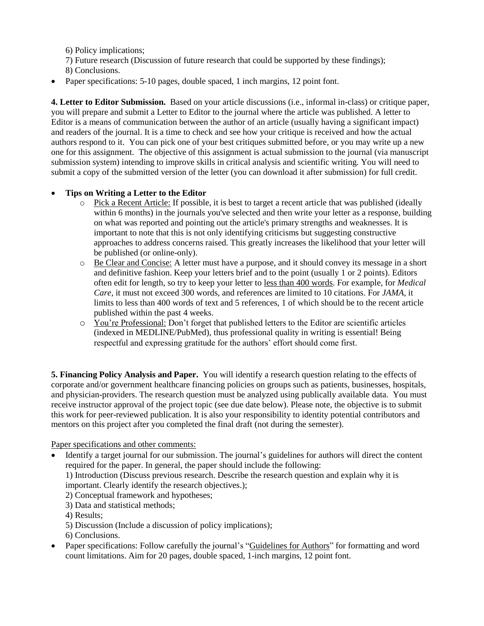6) Policy implications;

- 7) Future research (Discussion of future research that could be supported by these findings);
- 8) Conclusions.
- Paper specifications: 5-10 pages, double spaced, 1 inch margins, 12 point font.

**4. Letter to Editor Submission.** Based on your article discussions (i.e., informal in-class) or critique paper, you will prepare and submit a Letter to Editor to the journal where the article was published. A letter to Editor is a means of communication between the author of an article (usually having a significant impact) and readers of the journal. It is a time to check and see how your critique is received and how the actual authors respond to it. You can pick one of your best critiques submitted before, or you may write up a new one for this assignment. The objective of this assignment is actual submission to the journal (via manuscript submission system) intending to improve skills in critical analysis and scientific writing. You will need to submit a copy of the submitted version of the letter (you can download it after submission) for full credit.

# **Tips on Writing a Letter to the Editor**

- o Pick a Recent Article: If possible, it is best to target a recent article that was published (ideally within 6 months) in the journals you've selected and then write your letter as a response, building on what was reported and pointing out the article's primary strengths and weaknesses. It is important to note that this is not only identifying criticisms but suggesting constructive approaches to address concerns raised. This greatly increases the likelihood that your letter will be published (or online-only).
- o Be Clear and Concise: A letter must have a purpose, and it should convey its message in a short and definitive fashion. Keep your letters brief and to the point (usually 1 or 2 points). Editors often edit for length, so try to keep your letter to less than 400 words. For example, for *Medical Care*, it must not exceed 300 words, and references are limited to 10 citations. For *JAMA*, it limits to less than 400 words of text and 5 references, 1 of which should be to the recent article published within the past 4 weeks.
- o You're Professional: Don't forget that published letters to the Editor are scientific articles (indexed in MEDLINE/PubMed), thus professional quality in writing is essential! Being respectful and expressing gratitude for the authors' effort should come first.

**5. Financing Policy Analysis and Paper.** You will identify a research question relating to the effects of corporate and/or government healthcare financing policies on groups such as patients, businesses, hospitals, and physician-providers. The research question must be analyzed using publically available data. You must receive instructor approval of the project topic (see due date below). Please note, the objective is to submit this work for peer-reviewed publication. It is also your responsibility to identity potential contributors and mentors on this project after you completed the final draft (not during the semester).

Paper specifications and other comments:

 Identify a target journal for our submission. The journal's guidelines for authors will direct the content required for the paper. In general, the paper should include the following:

1) Introduction (Discuss previous research. Describe the research question and explain why it is important. Clearly identify the research objectives.);

- 2) Conceptual framework and hypotheses;
- 3) Data and statistical methods;

4) Results;

- 5) Discussion (Include a discussion of policy implications);
- 6) Conclusions.
- Paper specifications: Follow carefully the journal's "Guidelines for Authors" for formatting and word count limitations. Aim for 20 pages, double spaced, 1-inch margins, 12 point font.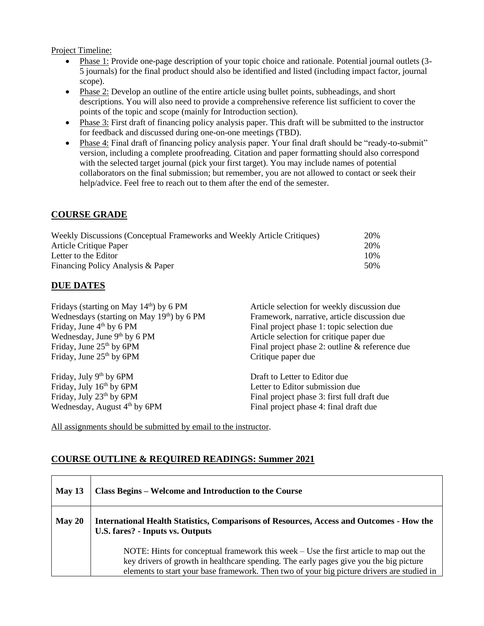Project Timeline:

- Phase 1: Provide one-page description of your topic choice and rationale. Potential journal outlets (3-5 journals) for the final product should also be identified and listed (including impact factor, journal scope).
- Phase 2: Develop an outline of the entire article using bullet points, subheadings, and short descriptions. You will also need to provide a comprehensive reference list sufficient to cover the points of the topic and scope (mainly for Introduction section).
- Phase 3: First draft of financing policy analysis paper. This draft will be submitted to the instructor for feedback and discussed during one-on-one meetings (TBD).
- Phase 4: Final draft of financing policy analysis paper. Your final draft should be "ready-to-submit" version, including a complete proofreading. Citation and paper formatting should also correspond with the selected target journal (pick your first target). You may include names of potential collaborators on the final submission; but remember, you are not allowed to contact or seek their help/advice. Feel free to reach out to them after the end of the semester.

## **COURSE GRADE**

| Weekly Discussions (Conceptual Frameworks and Weekly Article Critiques) | 20%  |
|-------------------------------------------------------------------------|------|
| Article Critique Paper                                                  | 20%  |
| Letter to the Editor                                                    | 10%  |
| Financing Policy Analysis & Paper                                       | .50% |

### **DUE DATES**

| Fridays (starting on May $14th$ ) by 6 PM | Article selection for weekly discussion due    |  |  |
|-------------------------------------------|------------------------------------------------|--|--|
| Wednesdays (starting on May 19th) by 6 PM | Framework, narrative, article discussion due   |  |  |
| Friday, June $4th$ by 6 PM                | Final project phase 1: topic selection due     |  |  |
| Wednesday, June 9th by 6 PM               | Article selection for critique paper due       |  |  |
| Friday, June $25th$ by 6PM                | Final project phase 2: outline & reference due |  |  |
| Friday, June $25th$ by 6PM                | Critique paper due                             |  |  |
| Friday, July 9 <sup>th</sup> by 6PM       | Draft to Letter to Editor due                  |  |  |
| Friday, July 16th by 6PM                  | Letter to Editor submission due                |  |  |
| Friday, July 23 <sup>th</sup> by 6PM      | Final project phase 3: first full draft due    |  |  |
| Wednesday, August 4 <sup>th</sup> by 6PM  | Final project phase 4: final draft due         |  |  |

All assignments should be submitted by email to the instructor.

### **COURSE OUTLINE & REQUIRED READINGS: Summer 2021**

| May $13$ | Class Begins – Welcome and Introduction to the Course                                                                                                                                                                                                                         |
|----------|-------------------------------------------------------------------------------------------------------------------------------------------------------------------------------------------------------------------------------------------------------------------------------|
| May 20   | <b>International Health Statistics, Comparisons of Resources, Access and Outcomes - How the</b><br><b>U.S. fares?</b> - Inputs vs. Outputs                                                                                                                                    |
|          | NOTE: Hints for conceptual framework this week – Use the first article to map out the<br>key drivers of growth in healthcare spending. The early pages give you the big picture<br>elements to start your base framework. Then two of your big picture drivers are studied in |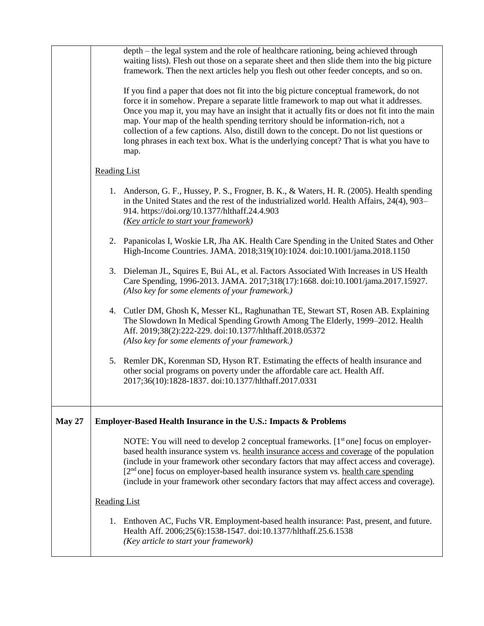|               | depth – the legal system and the role of healthcare rationing, being achieved through<br>waiting lists). Flesh out those on a separate sheet and then slide them into the big picture<br>framework. Then the next articles help you flesh out other feeder concepts, and so on.<br>If you find a paper that does not fit into the big picture conceptual framework, do not<br>force it in somehow. Prepare a separate little framework to map out what it addresses.<br>Once you map it, you may have an insight that it actually fits or does not fit into the main<br>map. Your map of the health spending territory should be information-rich, not a<br>collection of a few captions. Also, distill down to the concept. Do not list questions or<br>long phrases in each text box. What is the underlying concept? That is what you have to<br>map. |  |  |
|---------------|----------------------------------------------------------------------------------------------------------------------------------------------------------------------------------------------------------------------------------------------------------------------------------------------------------------------------------------------------------------------------------------------------------------------------------------------------------------------------------------------------------------------------------------------------------------------------------------------------------------------------------------------------------------------------------------------------------------------------------------------------------------------------------------------------------------------------------------------------------|--|--|
|               | <b>Reading List</b>                                                                                                                                                                                                                                                                                                                                                                                                                                                                                                                                                                                                                                                                                                                                                                                                                                      |  |  |
|               | 1. Anderson, G. F., Hussey, P. S., Frogner, B. K., & Waters, H. R. (2005). Health spending<br>in the United States and the rest of the industrialized world. Health Affairs, 24(4), 903–<br>914. https://doi.org/10.1377/hlthaff.24.4.903<br>(Key article to start your framework)                                                                                                                                                                                                                                                                                                                                                                                                                                                                                                                                                                       |  |  |
|               | 2. Papanicolas I, Woskie LR, Jha AK. Health Care Spending in the United States and Other<br>High-Income Countries. JAMA. 2018;319(10):1024. doi:10.1001/jama.2018.1150                                                                                                                                                                                                                                                                                                                                                                                                                                                                                                                                                                                                                                                                                   |  |  |
|               | 3. Dieleman JL, Squires E, Bui AL, et al. Factors Associated With Increases in US Health<br>Care Spending, 1996-2013. JAMA. 2017;318(17):1668. doi:10.1001/jama.2017.15927.<br>(Also key for some elements of your framework.)                                                                                                                                                                                                                                                                                                                                                                                                                                                                                                                                                                                                                           |  |  |
|               | 4. Cutler DM, Ghosh K, Messer KL, Raghunathan TE, Stewart ST, Rosen AB. Explaining<br>The Slowdown In Medical Spending Growth Among The Elderly, 1999-2012. Health<br>Aff. 2019;38(2):222-229. doi:10.1377/hlthaff.2018.05372<br>(Also key for some elements of your framework.)                                                                                                                                                                                                                                                                                                                                                                                                                                                                                                                                                                         |  |  |
|               | 5. Remler DK, Korenman SD, Hyson RT. Estimating the effects of health insurance and<br>other social programs on poverty under the affordable care act. Health Aff.<br>2017;36(10):1828-1837. doi:10.1377/hlthaff.2017.0331                                                                                                                                                                                                                                                                                                                                                                                                                                                                                                                                                                                                                               |  |  |
| <b>May 27</b> | Employer-Based Health Insurance in the U.S.: Impacts & Problems                                                                                                                                                                                                                                                                                                                                                                                                                                                                                                                                                                                                                                                                                                                                                                                          |  |  |
|               | NOTE: You will need to develop 2 conceptual frameworks. $[1st one]$ focus on employer-<br>based health insurance system vs. health insurance access and coverage of the population<br>(include in your framework other secondary factors that may affect access and coverage).<br>[2 <sup>nd</sup> one] focus on employer-based health insurance system vs. health care spending<br>(include in your framework other secondary factors that may affect access and coverage).                                                                                                                                                                                                                                                                                                                                                                             |  |  |
|               | Reading List                                                                                                                                                                                                                                                                                                                                                                                                                                                                                                                                                                                                                                                                                                                                                                                                                                             |  |  |
|               | 1. Enthoven AC, Fuchs VR. Employment-based health insurance: Past, present, and future.<br>Health Aff. 2006;25(6):1538-1547. doi:10.1377/hlthaff.25.6.1538<br>(Key article to start your framework)                                                                                                                                                                                                                                                                                                                                                                                                                                                                                                                                                                                                                                                      |  |  |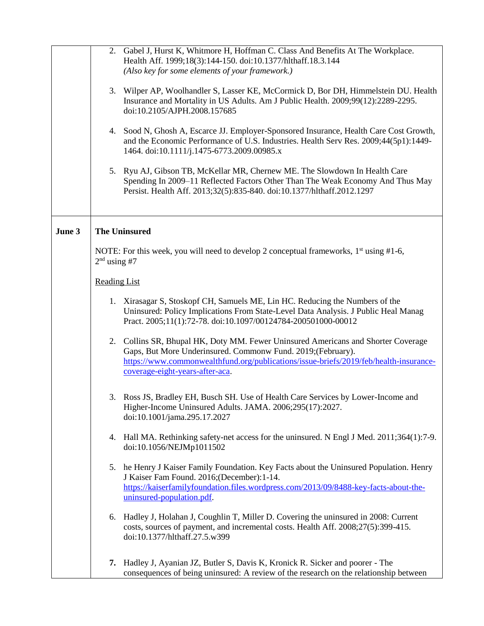|        | 2. Gabel J, Hurst K, Whitmore H, Hoffman C. Class And Benefits At The Workplace.<br>Health Aff. 1999;18(3):144-150. doi:10.1377/hlthaff.18.3.144                                                                                                                             |  |  |
|--------|------------------------------------------------------------------------------------------------------------------------------------------------------------------------------------------------------------------------------------------------------------------------------|--|--|
|        | (Also key for some elements of your framework.)                                                                                                                                                                                                                              |  |  |
|        | Wilper AP, Woolhandler S, Lasser KE, McCormick D, Bor DH, Himmelstein DU. Health<br>3.<br>Insurance and Mortality in US Adults. Am J Public Health. 2009;99(12):2289-2295.<br>doi:10.2105/AJPH.2008.157685                                                                   |  |  |
|        | 4. Sood N, Ghosh A, Escarce JJ. Employer-Sponsored Insurance, Health Care Cost Growth,<br>and the Economic Performance of U.S. Industries. Health Serv Res. 2009;44(5p1):1449-<br>1464. doi:10.1111/j.1475-6773.2009.00985.x                                                 |  |  |
|        | 5. Ryu AJ, Gibson TB, McKellar MR, Chernew ME. The Slowdown In Health Care<br>Spending In 2009-11 Reflected Factors Other Than The Weak Economy And Thus May<br>Persist. Health Aff. 2013;32(5):835-840. doi:10.1377/hlthaff.2012.1297                                       |  |  |
| June 3 | <b>The Uninsured</b>                                                                                                                                                                                                                                                         |  |  |
|        | NOTE: For this week, you will need to develop 2 conceptual frameworks, $1^{st}$ using #1-6,<br>$2nd$ using #7                                                                                                                                                                |  |  |
|        | <b>Reading List</b>                                                                                                                                                                                                                                                          |  |  |
|        | 1. Xirasagar S, Stoskopf CH, Samuels ME, Lin HC. Reducing the Numbers of the<br>Uninsured: Policy Implications From State-Level Data Analysis. J Public Heal Manag<br>Pract. 2005;11(1):72-78. doi:10.1097/00124784-200501000-00012                                          |  |  |
|        | 2. Collins SR, Bhupal HK, Doty MM. Fewer Uninsured Americans and Shorter Coverage<br>Gaps, But More Underinsured. Commonw Fund. 2019;(February).<br>https://www.commonwealthfund.org/publications/issue-briefs/2019/feb/health-insurance-<br>coverage-eight-years-after-aca. |  |  |
|        | Ross JS, Bradley EH, Busch SH. Use of Health Care Services by Lower-Income and<br>Higher-Income Uninsured Adults. JAMA. 2006;295(17):2027.<br>doi:10.1001/jama.295.17.2027                                                                                                   |  |  |
|        | 4. Hall MA. Rethinking safety-net access for the uninsured. N Engl J Med. 2011;364(1):7-9.<br>doi:10.1056/NEJMp1011502                                                                                                                                                       |  |  |
|        | 5. he Henry J Kaiser Family Foundation. Key Facts about the Uninsured Population. Henry<br>J Kaiser Fam Found. 2016; (December): 1-14.<br>https://kaiserfamilyfoundation.files.wordpress.com/2013/09/8488-key-facts-about-the-<br>uninsured-population.pdf.                  |  |  |
|        | Hadley J, Holahan J, Coughlin T, Miller D. Covering the uninsured in 2008: Current<br>6.<br>costs, sources of payment, and incremental costs. Health Aff. 2008;27(5):399-415.<br>doi:10.1377/hlthaff.27.5.w399                                                               |  |  |
|        | Hadley J, Ayanian JZ, Butler S, Davis K, Kronick R. Sicker and poorer - The<br>7.<br>consequences of being uninsured: A review of the research on the relationship between                                                                                                   |  |  |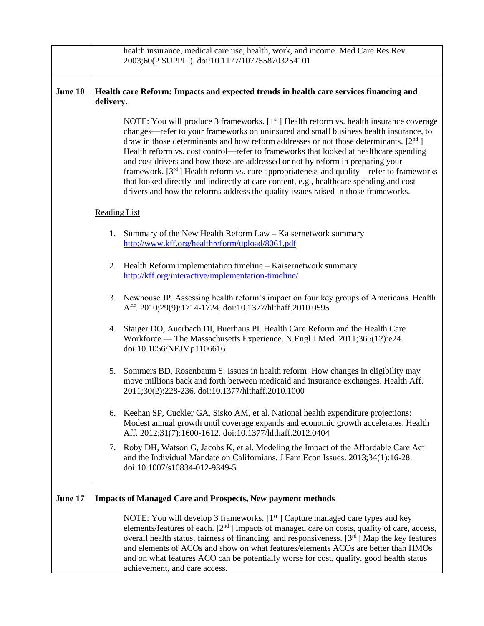|         |                                                                                                    | health insurance, medical care use, health, work, and income. Med Care Res Rev.<br>2003;60(2 SUPPL.). doi:10.1177/1077558703254101                                                                                                                                                                                                                                                                                                                                                                                                                                                                                                                                                                                                    |  |  |
|---------|----------------------------------------------------------------------------------------------------|---------------------------------------------------------------------------------------------------------------------------------------------------------------------------------------------------------------------------------------------------------------------------------------------------------------------------------------------------------------------------------------------------------------------------------------------------------------------------------------------------------------------------------------------------------------------------------------------------------------------------------------------------------------------------------------------------------------------------------------|--|--|
| June 10 | Health care Reform: Impacts and expected trends in health care services financing and<br>delivery. |                                                                                                                                                                                                                                                                                                                                                                                                                                                                                                                                                                                                                                                                                                                                       |  |  |
|         |                                                                                                    | NOTE: You will produce 3 frameworks. $[1st]$ Health reform vs. health insurance coverage<br>changes—refer to your frameworks on uninsured and small business health insurance, to<br>draw in those determinants and how reform addresses or not those determinants. $[2nd]$<br>Health reform vs. cost control—refer to frameworks that looked at healthcare spending<br>and cost drivers and how those are addressed or not by reform in preparing your<br>framework. $[3rd]$ Health reform vs. care appropriateness and quality—refer to frameworks<br>that looked directly and indirectly at care content, e.g., healthcare spending and cost<br>drivers and how the reforms address the quality issues raised in those frameworks. |  |  |
|         | <b>Reading List</b>                                                                                |                                                                                                                                                                                                                                                                                                                                                                                                                                                                                                                                                                                                                                                                                                                                       |  |  |
|         |                                                                                                    | 1. Summary of the New Health Reform Law - Kaisernetwork summary<br>http://www.kff.org/healthreform/upload/8061.pdf                                                                                                                                                                                                                                                                                                                                                                                                                                                                                                                                                                                                                    |  |  |
|         |                                                                                                    | 2. Health Reform implementation timeline - Kaisernetwork summary<br>http://kff.org/interactive/implementation-timeline/                                                                                                                                                                                                                                                                                                                                                                                                                                                                                                                                                                                                               |  |  |
|         |                                                                                                    | 3. Newhouse JP. Assessing health reform's impact on four key groups of Americans. Health<br>Aff. 2010;29(9):1714-1724. doi:10.1377/hlthaff.2010.0595                                                                                                                                                                                                                                                                                                                                                                                                                                                                                                                                                                                  |  |  |
|         | 4.                                                                                                 | Staiger DO, Auerbach DI, Buerhaus PI. Health Care Reform and the Health Care<br>Workforce — The Massachusetts Experience. N Engl J Med. 2011;365(12):e24.<br>doi:10.1056/NEJMp1106616                                                                                                                                                                                                                                                                                                                                                                                                                                                                                                                                                 |  |  |
|         | 5.                                                                                                 | Sommers BD, Rosenbaum S. Issues in health reform: How changes in eligibility may<br>move millions back and forth between medicaid and insurance exchanges. Health Aff.<br>2011;30(2):228-236. doi:10.1377/hlthaff.2010.1000                                                                                                                                                                                                                                                                                                                                                                                                                                                                                                           |  |  |
|         |                                                                                                    | 6. Keehan SP, Cuckler GA, Sisko AM, et al. National health expenditure projections:<br>Modest annual growth until coverage expands and economic growth accelerates. Health<br>Aff. 2012;31(7):1600-1612. doi:10.1377/hlthaff.2012.0404                                                                                                                                                                                                                                                                                                                                                                                                                                                                                                |  |  |
|         |                                                                                                    | 7. Roby DH, Watson G, Jacobs K, et al. Modeling the Impact of the Affordable Care Act<br>and the Individual Mandate on Californians. J Fam Econ Issues. 2013;34(1):16-28.<br>doi:10.1007/s10834-012-9349-5                                                                                                                                                                                                                                                                                                                                                                                                                                                                                                                            |  |  |
| June 17 |                                                                                                    | <b>Impacts of Managed Care and Prospects, New payment methods</b>                                                                                                                                                                                                                                                                                                                                                                                                                                                                                                                                                                                                                                                                     |  |  |
|         |                                                                                                    | NOTE: You will develop 3 frameworks. [1 <sup>st</sup> ] Capture managed care types and key<br>elements/features of each. [2 <sup>nd</sup> ] Impacts of managed care on costs, quality of care, access,<br>overall health status, fairness of financing, and responsiveness. $[3rd]$ Map the key features<br>and elements of ACOs and show on what features/elements ACOs are better than HMOs<br>and on what features ACO can be potentially worse for cost, quality, good health status<br>achievement, and care access.                                                                                                                                                                                                             |  |  |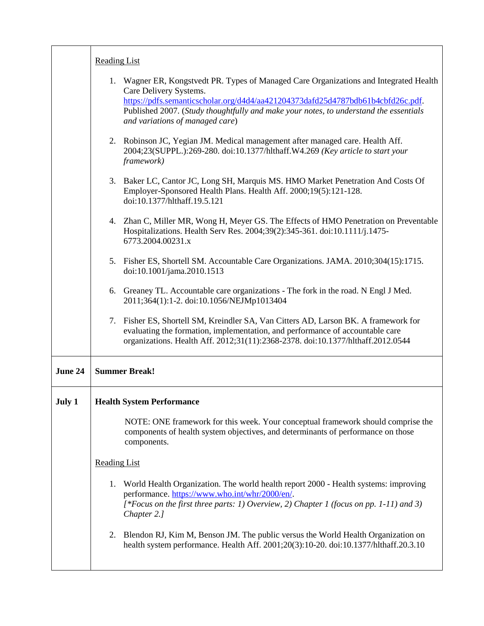|         | <b>Reading List</b>                                                                                                                                                                                                                                                                                                             |
|---------|---------------------------------------------------------------------------------------------------------------------------------------------------------------------------------------------------------------------------------------------------------------------------------------------------------------------------------|
|         | 1. Wagner ER, Kongstvedt PR. Types of Managed Care Organizations and Integrated Health<br>Care Delivery Systems.<br>https://pdfs.semanticscholar.org/d4d4/aa421204373dafd25d4787bdb61b4cbfd26c.pdf.<br>Published 2007. (Study thoughtfully and make your notes, to understand the essentials<br>and variations of managed care) |
|         | 2. Robinson JC, Yegian JM. Medical management after managed care. Health Aff.<br>2004;23(SUPPL.):269-280. doi:10.1377/hlthaff.W4.269 (Key article to start your<br>framework)                                                                                                                                                   |
|         | 3. Baker LC, Cantor JC, Long SH, Marquis MS. HMO Market Penetration And Costs Of<br>Employer-Sponsored Health Plans. Health Aff. 2000;19(5):121-128.<br>doi:10.1377/hlthaff.19.5.121                                                                                                                                            |
|         | 4. Zhan C, Miller MR, Wong H, Meyer GS. The Effects of HMO Penetration on Preventable<br>Hospitalizations. Health Serv Res. 2004;39(2):345-361. doi:10.1111/j.1475-<br>6773.2004.00231.x                                                                                                                                        |
|         | 5. Fisher ES, Shortell SM. Accountable Care Organizations. JAMA. 2010;304(15):1715.<br>doi:10.1001/jama.2010.1513                                                                                                                                                                                                               |
|         | 6. Greaney TL. Accountable care organizations - The fork in the road. N Engl J Med.<br>2011;364(1):1-2. doi:10.1056/NEJMp1013404                                                                                                                                                                                                |
|         | 7. Fisher ES, Shortell SM, Kreindler SA, Van Citters AD, Larson BK. A framework for<br>evaluating the formation, implementation, and performance of accountable care<br>organizations. Health Aff. 2012;31(11):2368-2378. doi:10.1377/hlthaff.2012.0544                                                                         |
| June 24 | <b>Summer Break!</b>                                                                                                                                                                                                                                                                                                            |
| July 1  | <b>Health System Performance</b>                                                                                                                                                                                                                                                                                                |
|         | NOTE: ONE framework for this week. Your conceptual framework should comprise the<br>components of health system objectives, and determinants of performance on those<br>components.                                                                                                                                             |
|         | <b>Reading List</b>                                                                                                                                                                                                                                                                                                             |
|         | 1. World Health Organization. The world health report 2000 - Health systems: improving<br>performance. https://www.who.int/whr/2000/en/.<br>[*Focus on the first three parts: 1) Overview, 2) Chapter 1 (focus on pp. 1-11) and 3)<br>Chapter 2.]                                                                               |
|         | 2. Blendon RJ, Kim M, Benson JM. The public versus the World Health Organization on<br>health system performance. Health Aff. 2001;20(3):10-20. doi:10.1377/hlthaff.20.3.10                                                                                                                                                     |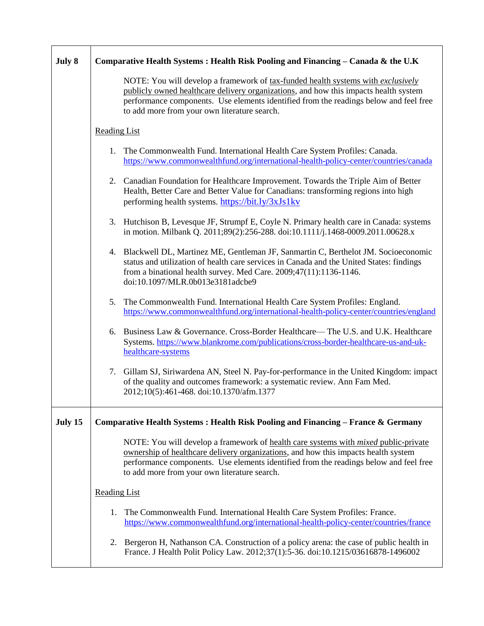| July 8  | Comparative Health Systems : Health Risk Pooling and Financing – Canada & the U.K                                                                                                                                                                                                                                                |  |  |  |
|---------|----------------------------------------------------------------------------------------------------------------------------------------------------------------------------------------------------------------------------------------------------------------------------------------------------------------------------------|--|--|--|
|         | NOTE: You will develop a framework of tax-funded health systems with exclusively<br>publicly owned healthcare delivery organizations, and how this impacts health system<br>performance components. Use elements identified from the readings below and feel free<br>to add more from your own literature search.                |  |  |  |
|         | <b>Reading List</b>                                                                                                                                                                                                                                                                                                              |  |  |  |
|         | 1. The Commonwealth Fund. International Health Care System Profiles: Canada.<br>https://www.commonwealthfund.org/international-health-policy-center/countries/canada                                                                                                                                                             |  |  |  |
|         | 2. Canadian Foundation for Healthcare Improvement. Towards the Triple Aim of Better<br>Health, Better Care and Better Value for Canadians: transforming regions into high<br>performing health systems. https://bit.ly/3xJs1kv                                                                                                   |  |  |  |
|         | 3. Hutchison B, Levesque JF, Strumpf E, Coyle N. Primary health care in Canada: systems<br>in motion. Milbank Q. 2011;89(2):256-288. doi:10.1111/j.1468-0009.2011.00628.x                                                                                                                                                        |  |  |  |
|         | 4. Blackwell DL, Martinez ME, Gentleman JF, Sanmartin C, Berthelot JM. Socioeconomic<br>status and utilization of health care services in Canada and the United States: findings<br>from a binational health survey. Med Care. $2009;47(11):1136-1146$ .<br>doi:10.1097/MLR.0b013e3181adcbe9                                     |  |  |  |
|         | 5. The Commonwealth Fund. International Health Care System Profiles: England.<br>https://www.commonwealthfund.org/international-health-policy-center/countries/england                                                                                                                                                           |  |  |  |
|         | Business Law & Governance. Cross-Border Healthcare— The U.S. and U.K. Healthcare<br>6.<br>Systems. https://www.blankrome.com/publications/cross-border-healthcare-us-and-uk-<br>healthcare-systems                                                                                                                               |  |  |  |
|         | 7. Gillam SJ, Siriwardena AN, Steel N. Pay-for-performance in the United Kingdom: impact<br>of the quality and outcomes framework: a systematic review. Ann Fam Med.<br>2012;10(5):461-468. doi:10.1370/afm.1377                                                                                                                 |  |  |  |
| July 15 | Comparative Health Systems : Health Risk Pooling and Financing – France & Germany                                                                                                                                                                                                                                                |  |  |  |
|         | NOTE: You will develop a framework of <u>health care systems with <i>mixed</i> public-private</u><br>ownership of healthcare delivery organizations, and how this impacts health system<br>performance components. Use elements identified from the readings below and feel free<br>to add more from your own literature search. |  |  |  |
|         | <b>Reading List</b>                                                                                                                                                                                                                                                                                                              |  |  |  |
|         | The Commonwealth Fund. International Health Care System Profiles: France.<br>1.<br>https://www.commonwealthfund.org/international-health-policy-center/countries/france                                                                                                                                                          |  |  |  |
|         | Bergeron H, Nathanson CA. Construction of a policy arena: the case of public health in<br>2.<br>France. J Health Polit Policy Law. 2012;37(1):5-36. doi:10.1215/03616878-1496002                                                                                                                                                 |  |  |  |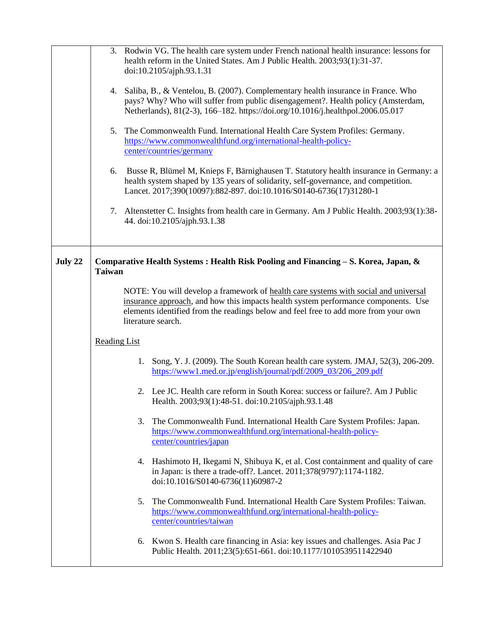|         |                     |    | 3. Rodwin VG. The health care system under French national health insurance: lessons for<br>health reform in the United States. Am J Public Health. 2003;93(1):31-37.<br>doi:10.2105/ajph.93.1.31                                                                                      |
|---------|---------------------|----|----------------------------------------------------------------------------------------------------------------------------------------------------------------------------------------------------------------------------------------------------------------------------------------|
|         |                     |    | 4. Saliba, B., & Ventelou, B. (2007). Complementary health insurance in France. Who<br>pays? Why? Who will suffer from public disengagement?. Health policy (Amsterdam,<br>Netherlands), 81(2-3), 166-182. https://doi.org/10.1016/j.healthpol.2006.05.017                             |
|         |                     |    | 5. The Commonwealth Fund. International Health Care System Profiles: Germany.<br>https://www.commonwealthfund.org/international-health-policy-<br>center/countries/germany                                                                                                             |
|         | 6.                  |    | Busse R, Blümel M, Knieps F, Bärnighausen T. Statutory health insurance in Germany: a<br>health system shaped by 135 years of solidarity, self-governance, and competition.<br>Lancet. 2017;390(10097):882-897. doi:10.1016/S0140-6736(17)31280-1                                      |
|         |                     |    | 7. Altenstetter C. Insights from health care in Germany. Am J Public Health. 2003;93(1):38-<br>44. doi:10.2105/ajph.93.1.38                                                                                                                                                            |
| July 22 | <b>Taiwan</b>       |    | Comparative Health Systems : Health Risk Pooling and Financing $-$ S. Korea, Japan, $\&$                                                                                                                                                                                               |
|         |                     |    | NOTE: You will develop a framework of health care systems with social and universal<br>insurance approach, and how this impacts health system performance components. Use<br>elements identified from the readings below and feel free to add more from your own<br>literature search. |
|         | <b>Reading List</b> |    |                                                                                                                                                                                                                                                                                        |
|         |                     | 1. | Song, Y. J. (2009). The South Korean health care system. JMAJ, 52(3), 206-209.<br>https://www1.med.or.jp/english/journal/pdf/2009_03/206_209.pdf                                                                                                                                       |
|         |                     |    | 2. Lee JC. Health care reform in South Korea: success or failure?. Am J Public<br>Health. 2003;93(1):48-51. doi:10.2105/ajph.93.1.48                                                                                                                                                   |
|         |                     | 3. | The Commonwealth Fund. International Health Care System Profiles: Japan.<br>https://www.commonwealthfund.org/international-health-policy-<br>center/countries/japan                                                                                                                    |
|         |                     | 4. | Hashimoto H, Ikegami N, Shibuya K, et al. Cost containment and quality of care<br>in Japan: is there a trade-off?. Lancet. 2011;378(9797):1174-1182.<br>doi:10.1016/S0140-6736(11)60987-2                                                                                              |
|         |                     | 5. | The Commonwealth Fund. International Health Care System Profiles: Taiwan.<br>https://www.commonwealthfund.org/international-health-policy-<br>center/countries/taiwan                                                                                                                  |
|         |                     |    | 6. Kwon S. Health care financing in Asia: key issues and challenges. Asia Pac J<br>Public Health. 2011;23(5):651-661. doi:10.1177/1010539511422940                                                                                                                                     |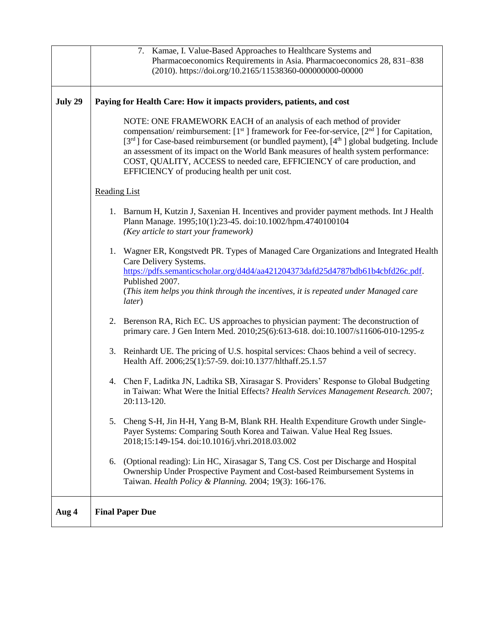|         | 7. Kamae, I. Value-Based Approaches to Healthcare Systems and                                                                                                                                                                                                                                                                                                                                                                                                                                               |
|---------|-------------------------------------------------------------------------------------------------------------------------------------------------------------------------------------------------------------------------------------------------------------------------------------------------------------------------------------------------------------------------------------------------------------------------------------------------------------------------------------------------------------|
|         | Pharmacoeconomics Requirements in Asia. Pharmacoeconomics 28, 831-838                                                                                                                                                                                                                                                                                                                                                                                                                                       |
|         | (2010). https://doi.org/10.2165/11538360-000000000-00000                                                                                                                                                                                                                                                                                                                                                                                                                                                    |
|         |                                                                                                                                                                                                                                                                                                                                                                                                                                                                                                             |
| July 29 | Paying for Health Care: How it impacts providers, patients, and cost                                                                                                                                                                                                                                                                                                                                                                                                                                        |
|         | NOTE: ONE FRAMEWORK EACH of an analysis of each method of provider<br>compensation/reimbursement: $[1st]$ framework for Fee-for-service, $[2nd]$ for Capitation,<br>[3 <sup>rd</sup> ] for Case-based reimbursement (or bundled payment), [4 <sup>th</sup> ] global budgeting. Include<br>an assessment of its impact on the World Bank measures of health system performance:<br>COST, QUALITY, ACCESS to needed care, EFFICIENCY of care production, and<br>EFFICIENCY of producing health per unit cost. |
|         | <b>Reading List</b>                                                                                                                                                                                                                                                                                                                                                                                                                                                                                         |
|         | 1. Barnum H, Kutzin J, Saxenian H. Incentives and provider payment methods. Int J Health<br>Plann Manage. 1995;10(1):23-45. doi:10.1002/hpm.4740100104<br>(Key article to start your framework)                                                                                                                                                                                                                                                                                                             |
|         | 1. Wagner ER, Kongstvedt PR. Types of Managed Care Organizations and Integrated Health<br>Care Delivery Systems.<br>https://pdfs.semanticscholar.org/d4d4/aa421204373dafd25d4787bdb61b4cbfd26c.pdf.<br>Published 2007.<br>(This item helps you think through the incentives, it is repeated under Managed care<br>later)                                                                                                                                                                                    |
|         | 2. Berenson RA, Rich EC. US approaches to physician payment: The deconstruction of<br>primary care. J Gen Intern Med. 2010;25(6):613-618. doi:10.1007/s11606-010-1295-z                                                                                                                                                                                                                                                                                                                                     |
|         | 3. Reinhardt UE. The pricing of U.S. hospital services: Chaos behind a veil of secrecy.<br>Health Aff. 2006;25(1):57-59. doi:10.1377/hlthaff.25.1.57                                                                                                                                                                                                                                                                                                                                                        |
|         | 4. Chen F, Laditka JN, Ladtika SB, Xirasagar S. Providers' Response to Global Budgeting<br>in Taiwan: What Were the Initial Effects? Health Services Management Research. 2007;<br>20:113-120.                                                                                                                                                                                                                                                                                                              |
|         | Cheng S-H, Jin H-H, Yang B-M, Blank RH. Health Expenditure Growth under Single-<br>5.<br>Payer Systems: Comparing South Korea and Taiwan. Value Heal Reg Issues.<br>2018;15:149-154. doi:10.1016/j.vhri.2018.03.002                                                                                                                                                                                                                                                                                         |
|         | 6. (Optional reading): Lin HC, Xirasagar S, Tang CS. Cost per Discharge and Hospital<br>Ownership Under Prospective Payment and Cost-based Reimbursement Systems in<br>Taiwan. Health Policy & Planning. 2004; 19(3): 166-176.                                                                                                                                                                                                                                                                              |
| Aug 4   | <b>Final Paper Due</b>                                                                                                                                                                                                                                                                                                                                                                                                                                                                                      |